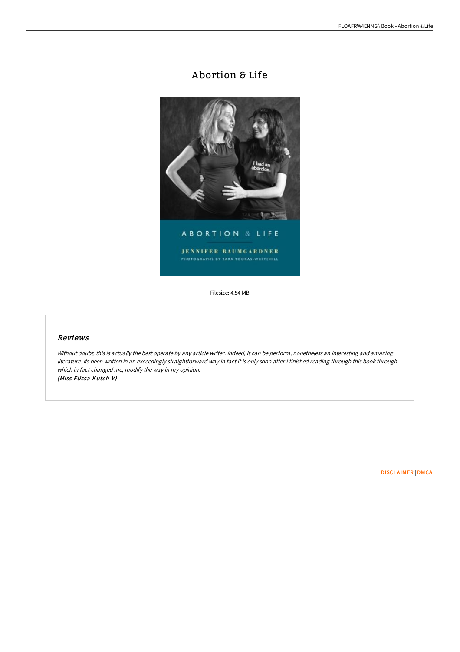# A bortion & Life



Filesize: 4.54 MB

# Reviews

Without doubt, this is actually the best operate by any article writer. Indeed, it can be perform, nonetheless an interesting and amazing literature. Its been written in an exceedingly straightforward way in fact it is only soon after i finished reading through this book through which in fact changed me, modify the way in my opinion. (Miss Elissa Kutch V)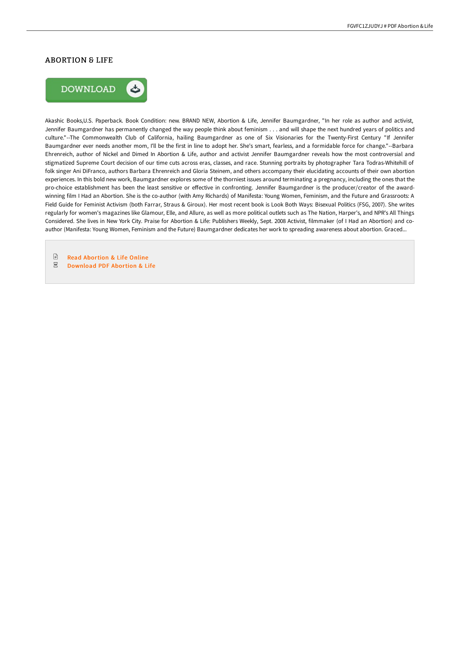### ABORTION & LIFE



Akashic Books,U.S. Paperback. Book Condition: new. BRAND NEW, Abortion & Life, Jennifer Baumgardner, "In her role as author and activist, Jennifer Baumgardner has permanently changed the way people think about feminism . . . and will shape the next hundred years of politics and culture."--The Commonwealth Club of California, hailing Baumgardner as one of Six Visionaries for the Twenty-First Century "If Jennifer Baumgardner ever needs another mom, I'll be the first in line to adopt her. She's smart, fearless, and a formidable force for change."--Barbara Ehrenreich, author of Nickel and Dimed In Abortion & Life, author and activist Jennifer Baumgardner reveals how the most controversial and stigmatized Supreme Court decision of our time cuts across eras, classes, and race. Stunning portraits by photographer Tara Todras-Whitehill of folk singer Ani DiFranco, authors Barbara Ehrenreich and Gloria Steinem, and others accompany their elucidating accounts of their own abortion experiences. In this bold new work, Baumgardner explores some of the thorniest issues around terminating a pregnancy, including the ones that the pro-choice establishment has been the least sensitive or effective in confronting. Jennifer Baumgardner is the producer/creator of the awardwinning film I Had an Abortion. She is the co-author (with Amy Richards) of Manifesta: Young Women, Feminism, and the Future and Grassroots: A Field Guide for Feminist Activism (both Farrar, Straus & Giroux). Her most recent book is Look Both Ways: Bisexual Politics (FSG, 2007). She writes regularly for women's magazines like Glamour, Elle, and Allure, as well as more political outlets such as The Nation, Harper's, and NPR's All Things Considered. She lives in New York City. Praise for Abortion & Life: Publishers Weekly, Sept. 2008 Activist, filmmaker (of I Had an Abortion) and coauthor (Manifesta: Young Women, Feminism and the Future) Baumgardner dedicates her work to spreading awareness about abortion. Graced...

 $\ensuremath{\mathop\square}\xspace$ Read [Abortion](http://bookera.tech/abortion-amp-life.html) & Life Online  $_{\rm PDF}$ [Download](http://bookera.tech/abortion-amp-life.html) PDF Abortion & Life